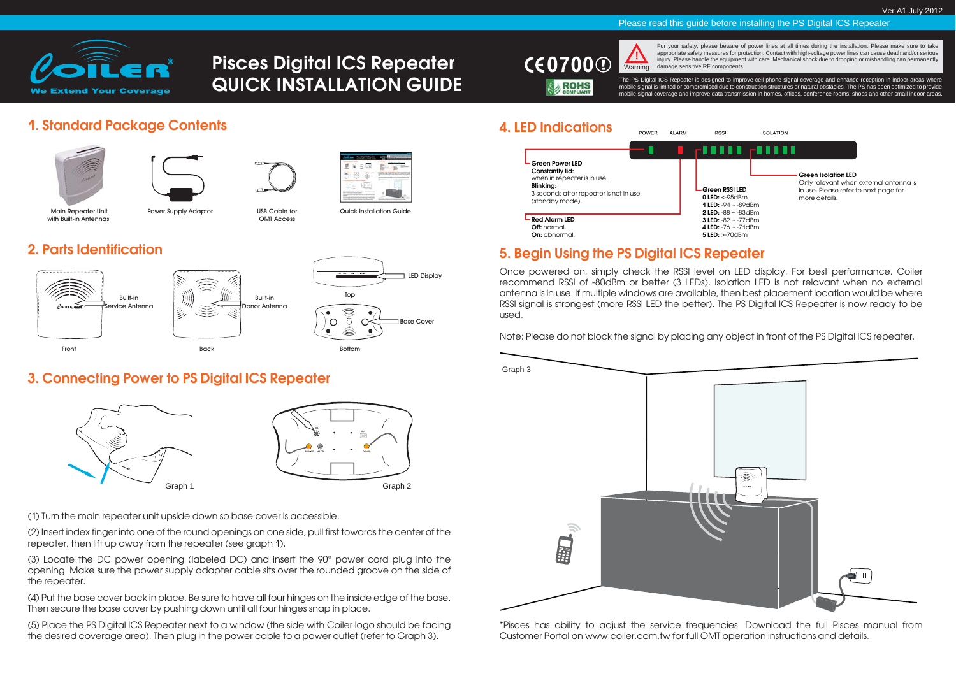

# **Pisces Digital ICS Repeater QUICK INSTALLATION GUIDE**



For your safety, please beware of power lines at all times during the installation. Please make sure to take appropriate safety measures for protection. Contact with high-voltage power lines can cause death and/or serious injury. Please handle the equipment with care. Mechanical shock due to dropping or mishandling can permanently Warning damage sensitive RF components.

The PS Digital ICS Repeater is designed to improve cell phone signal coverage and enhance reception in indoor areas where mobile signal is limited or compromised due to construction structures or natural obstacles. The PS has been optimized to provide mobile signal coverage and improve data transmission in homes, offices, conference rooms, shops and other small indoor areas.

Please read this guide before installing the PS Digital ICS Repeater

# **1. Standard Package Contents**



Built-in

OMT Access



Main Repeater Unit with Built-in Antennas

Power Supply Adaptor **USB Cable for Quick Installation Guide** 

# **2. Parts Identification**





#### **3. Connecting Power to PS Digital ICS Repeater**



|         | <b>DC</b>                             |
|---------|---------------------------------------|
|         | 응<br>SERVICE<br><b>USCFL</b><br>DONOR |
| Graph 1 | Graph 2                               |

(1) Turn the main repeater unit upside down so base cover is accessible.

(2) Insert index finger into one of the round openings on one side, pull first towards the center of the repeater, then lift up away from the repeater (see graph 1).

(3) Locate the DC power opening (labeled DC) and insert the 90° power cord plug into the opening. Make sure the power supply adapter cable sits over the rounded groove on the side of the repeater.

(4) Put the base cover back in place. Be sure to have all four hinges on the inside edge of the base. Then secure the base cover by pushing down until all four hinges snap in place.

(5) Place the PS Digital ICS Repeater next to a window (the side with Coiler logo should be facing the desired coverage area). Then plug in the power cable to a power outlet (refer to Graph 3).





# **5. Begin Using the PS Digital ICS Repeater**

Once powered on, simply check the RSSI level on LED display. For best performance, Coiler recommend RSSI of -80dBm or better (3 LEDs). Isolation LED is not relavant when no external antenna is in use. If multiple windows are available, then best placement location would be where RSSI signal is strongest (more RSSI LED the better). The PS Digital ICS Repeater is now ready to be used.

Note: Please do not block the signal by placing any object in front of the PS Digital ICS repeater.



\*Pisces has ability to adjust the service frequencies. Download the full Pisces manual from Customer Portal on www.coiler.com.tw for full OMT operation instructions and details.